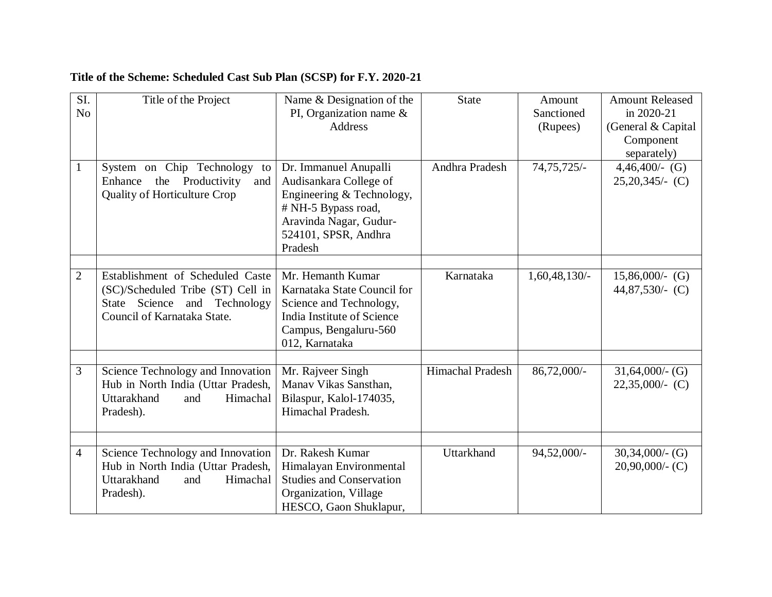| SI.<br>N <sub>o</sub> | Title of the Project                                                                                                                 | Name & Designation of the<br>PI, Organization name $\&$<br><b>Address</b>                                                                                        | <b>State</b>            | Amount<br>Sanctioned<br>(Rupees) | <b>Amount Released</b><br>in 2020-21<br>(General & Capital<br>Component |
|-----------------------|--------------------------------------------------------------------------------------------------------------------------------------|------------------------------------------------------------------------------------------------------------------------------------------------------------------|-------------------------|----------------------------------|-------------------------------------------------------------------------|
| $\mathbf{1}$          | System on Chip Technology<br>to<br>Enhance<br>the<br>Productivity<br>and<br>Quality of Horticulture Crop                             | Dr. Immanuel Anupalli<br>Audisankara College of<br>Engineering & Technology,<br># NH-5 Bypass road,<br>Aravinda Nagar, Gudur-<br>524101, SPSR, Andhra<br>Pradesh | Andhra Pradesh          | $74,75,725/-$                    | separately)<br>$4,46,400/-(G)$<br>$25,20,345/(-C)$                      |
| $\overline{2}$        | Establishment of Scheduled Caste<br>(SC)/Scheduled Tribe (ST) Cell in<br>State Science and Technology<br>Council of Karnataka State. | Mr. Hemanth Kumar<br>Karnataka State Council for<br>Science and Technology,<br>India Institute of Science<br>Campus, Bengaluru-560<br>012, Karnataka             | Karnataka               | $1,60,48,130/$ -                 | $15,86,000/(-)$ (G)<br>44,87,530/- $(C)$                                |
| 3                     | Science Technology and Innovation<br>Hub in North India (Uttar Pradesh,<br>Uttarakhand<br>Himachal<br>and<br>Pradesh).               | Mr. Rajveer Singh<br>Manav Vikas Sansthan,<br>Bilaspur, Kalol-174035,<br>Himachal Pradesh.                                                                       | <b>Himachal Pradesh</b> | 86,72,000/-                      | $31,64,000/$ - (G)<br>$22,35,000/(-C)$                                  |
| $\overline{4}$        | Science Technology and Innovation<br>Hub in North India (Uttar Pradesh,<br>Uttarakhand<br>Himachal<br>and<br>Pradesh).               | Dr. Rakesh Kumar<br>Himalayan Environmental<br><b>Studies and Conservation</b><br>Organization, Village<br>HESCO, Gaon Shuklapur,                                | Uttarkhand              | 94,52,000/-                      | $30,34,000/$ - (G)<br>$20,90,000/$ - (C)                                |

## **Title of the Scheme: Scheduled Cast Sub Plan (SCSP) for F.Y. 2020-21**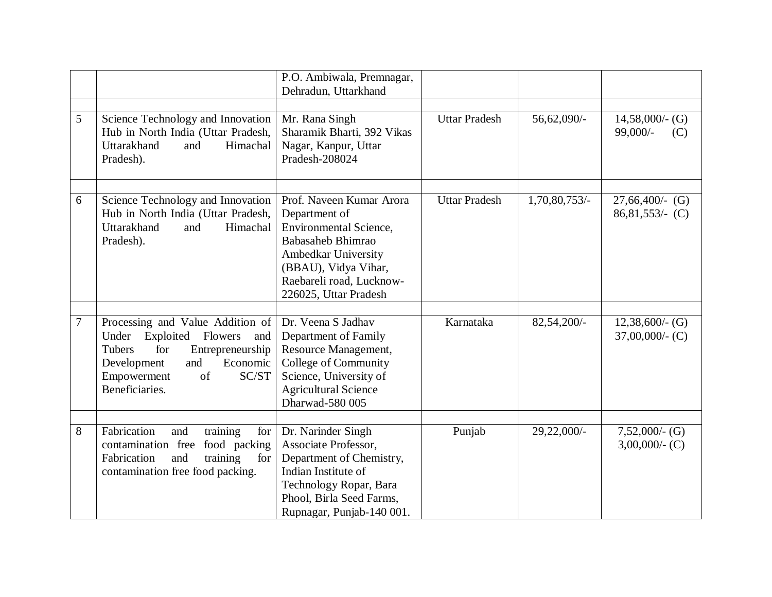|                |                                                                                                                                                                                              | P.O. Ambiwala, Premnagar,<br>Dehradun, Uttarkhand                                                                                                                                                          |                      |                |                                          |
|----------------|----------------------------------------------------------------------------------------------------------------------------------------------------------------------------------------------|------------------------------------------------------------------------------------------------------------------------------------------------------------------------------------------------------------|----------------------|----------------|------------------------------------------|
| 5              | Science Technology and Innovation<br>Hub in North India (Uttar Pradesh,<br>Uttarakhand<br>Himachal<br>and<br>Pradesh).                                                                       | Mr. Rana Singh<br>Sharamik Bharti, 392 Vikas<br>Nagar, Kanpur, Uttar<br>Pradesh-208024                                                                                                                     | <b>Uttar Pradesh</b> | 56,62,090/-    | $14,58,000/$ - (G)<br>99,000/-<br>(C)    |
| 6              | Science Technology and Innovation<br>Hub in North India (Uttar Pradesh,<br>Uttarakhand<br>Himachal<br>and<br>Pradesh).                                                                       | Prof. Naveen Kumar Arora<br>Department of<br><b>Environmental Science,</b><br><b>Babasaheb Bhimrao</b><br>Ambedkar University<br>(BBAU), Vidya Vihar,<br>Raebareli road, Lucknow-<br>226025, Uttar Pradesh | <b>Uttar Pradesh</b> | 1,70,80,753/-  | $27,66,400/$ - (G)<br>$86,81,553/$ - (C) |
| $\overline{7}$ | Processing and Value Addition of<br>Exploited Flowers<br>Under<br>and<br>for<br>Tubers<br>Entrepreneurship<br>Economic<br>Development<br>and<br>of<br>SC/ST<br>Empowerment<br>Beneficiaries. | Dr. Veena S Jadhav<br>Department of Family<br>Resource Management,<br>College of Community<br>Science, University of<br><b>Agricultural Science</b><br>Dharwad-580 005                                     | Karnataka            | $82,54,200/-$  | $12,38,600/$ - (G)<br>$37,00,000/$ - (C) |
| 8              | Fabrication<br>training<br>and<br>for<br>food packing<br>contamination free<br>for<br>Fabrication<br>training<br>and<br>contamination free food packing.                                     | Dr. Narinder Singh<br>Associate Professor,<br>Department of Chemistry,<br>Indian Institute of<br>Technology Ropar, Bara<br>Phool, Birla Seed Farms,<br>Rupnagar, Punjab-140 001.                           | Punjab               | $29,22,000/$ - | $7,52,000/$ - (G)<br>$3,00,000/$ - (C)   |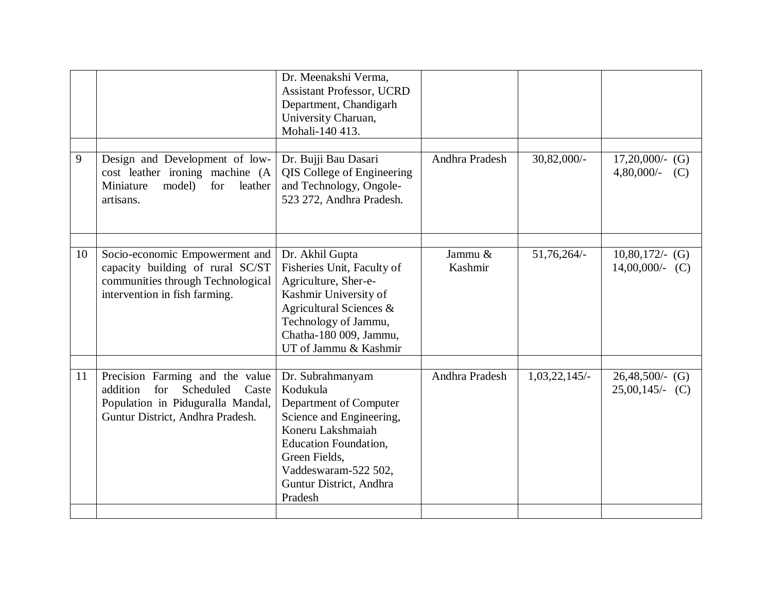|    |                                                                                                                                                   | Dr. Meenakshi Verma,<br><b>Assistant Professor, UCRD</b><br>Department, Chandigarh<br>University Charuan,<br>Mohali-140 413.                                                                                           |                    |              |                                          |
|----|---------------------------------------------------------------------------------------------------------------------------------------------------|------------------------------------------------------------------------------------------------------------------------------------------------------------------------------------------------------------------------|--------------------|--------------|------------------------------------------|
| 9  | Design and Development of low-<br>cost leather ironing machine (A<br>model)<br>Miniature<br>for<br>leather<br>artisans.                           | Dr. Bujji Bau Dasari<br>QIS College of Engineering<br>and Technology, Ongole-<br>523 272, Andhra Pradesh.                                                                                                              | Andhra Pradesh     | 30,82,000/-  | $17,20,000/(-)$ (G)<br>4,80,000/-<br>(C) |
| 10 | Socio-economic Empowerment and<br>capacity building of rural SC/ST<br>communities through Technological<br>intervention in fish farming.          | Dr. Akhil Gupta<br>Fisheries Unit, Faculty of<br>Agriculture, Sher-e-<br>Kashmir University of<br>Agricultural Sciences &<br>Technology of Jammu,<br>Chatha-180 009, Jammu,<br>UT of Jammu & Kashmir                   | Jammu &<br>Kashmir | 51,76,264/-  | $10,80,172/$ (G)<br>$14,00,000/(-C)$     |
| 11 | Precision Farming and the value<br>addition<br>Scheduled<br>for<br>Caste<br>Population in Piduguralla Mandal,<br>Guntur District, Andhra Pradesh. | Dr. Subrahmanyam<br>Kodukula<br>Department of Computer<br>Science and Engineering,<br>Koneru Lakshmaiah<br><b>Education Foundation,</b><br>Green Fields,<br>Vaddeswaram-522 502,<br>Guntur District, Andhra<br>Pradesh | Andhra Pradesh     | 1,03,22,145/ | $26,48,500$ /- (G)<br>$25,00,145/(-C)$   |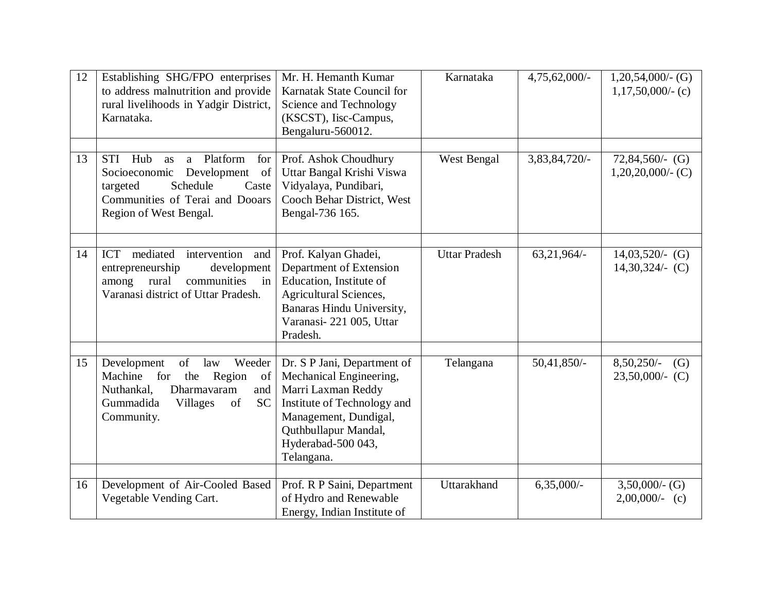| 12 | Establishing SHG/FPO enterprises<br>to address malnutrition and provide<br>rural livelihoods in Yadgir District,<br>Karnataka.                                                   | Mr. H. Hemanth Kumar<br>Karnatak State Council for<br>Science and Technology<br>(KSCST), Iisc-Campus,<br>Bengaluru-560012.                                                                       | Karnataka            | 4,75,62,000/- | $1,20,54,000/$ - (G)<br>$1,17,50,000/$ - (c) |
|----|----------------------------------------------------------------------------------------------------------------------------------------------------------------------------------|--------------------------------------------------------------------------------------------------------------------------------------------------------------------------------------------------|----------------------|---------------|----------------------------------------------|
| 13 | STI Hub<br>a Platform<br>for<br>as<br>Development<br>of<br>Socioeconomic<br>Schedule<br>targeted<br>Caste<br>Communities of Terai and Dooars<br>Region of West Bengal.           | Prof. Ashok Choudhury<br>Uttar Bangal Krishi Viswa<br>Vidyalaya, Pundibari,<br>Cooch Behar District, West<br>Bengal-736 165.                                                                     | West Bengal          | 3,83,84,720/- | $72,84,560$ /- (G)<br>$1,20,20,000/$ - (C)   |
| 14 | ICT mediated<br>intervention and<br>entrepreneurship<br>development<br>communities<br>among<br>rural<br>in<br>Varanasi district of Uttar Pradesh.                                | Prof. Kalyan Ghadei,<br>Department of Extension<br>Education, Institute of<br><b>Agricultural Sciences,</b><br>Banaras Hindu University,<br>Varanasi-221 005, Uttar<br>Pradesh.                  | <b>Uttar Pradesh</b> | $63,21,964/-$ | $14,03,520/-(G)$<br>$14,30,324/$ (C)         |
| 15 | Development<br>of<br>law<br>Weeder<br>Machine<br>for<br>the<br>Region<br>of<br>Nuthankal,<br>Dharmavaram<br>and<br>Gummadida<br>of<br><b>Villages</b><br><b>SC</b><br>Community. | Dr. S P Jani, Department of<br>Mechanical Engineering,<br>Marri Laxman Reddy<br>Institute of Technology and<br>Management, Dundigal,<br>Quthbullapur Mandal,<br>Hyderabad-500 043,<br>Telangana. | Telangana            | $50,41,850/-$ | 8,50,250/-<br>(G)<br>$23,50,000/(-C)$        |
| 16 | Development of Air-Cooled Based<br>Vegetable Vending Cart.                                                                                                                       | Prof. R P Saini, Department<br>of Hydro and Renewable<br>Energy, Indian Institute of                                                                                                             | Uttarakhand          | $6,35,000/-$  | $3,50,000/$ - (G)<br>$2,00,000/(-c)$         |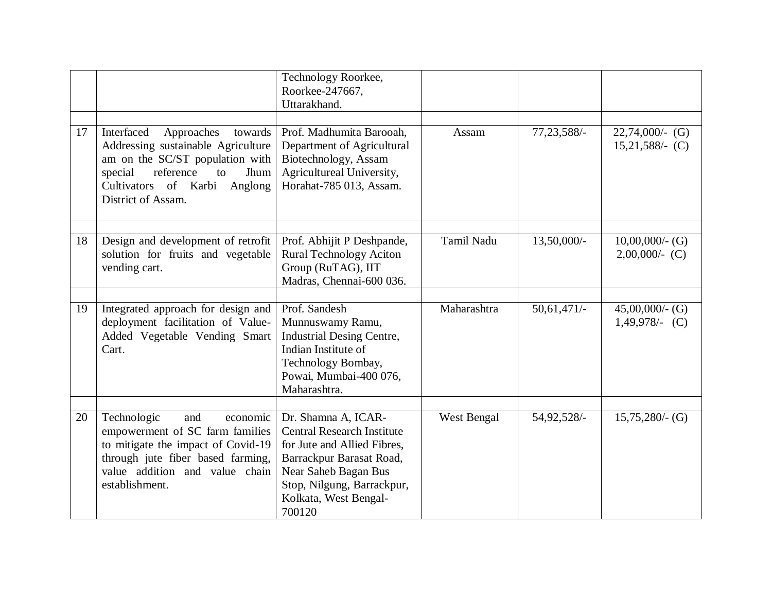|    |                                                                                                                                                                                                             | Technology Roorkee,<br>Roorkee-247667,<br>Uttarakhand.                                                                                                                                                       |             |               |                                        |
|----|-------------------------------------------------------------------------------------------------------------------------------------------------------------------------------------------------------------|--------------------------------------------------------------------------------------------------------------------------------------------------------------------------------------------------------------|-------------|---------------|----------------------------------------|
| 17 | Interfaced<br>Approaches<br>towards<br>Addressing sustainable Agriculture<br>am on the SC/ST population with<br>reference<br>special<br>to<br>Jhum<br>Cultivators of Karbi<br>Anglong<br>District of Assam. | Prof. Madhumita Barooah,<br>Department of Agricultural<br>Biotechnology, Assam<br>Agricultureal University,<br>Horahat-785 013, Assam.                                                                       | Assam       | 77, 23, 588/- | $22,74,000/-(G)$<br>$15,21,588/$ - (C) |
| 18 | Design and development of retrofit<br>solution for fruits and vegetable<br>vending cart.                                                                                                                    | Prof. Abhijit P Deshpande,<br><b>Rural Technology Aciton</b><br>Group (RuTAG), IIT<br>Madras, Chennai-600 036.                                                                                               | Tamil Nadu  | 13,50,000/-   | $10,00,000/$ - (G)<br>$2,00,000/(-C)$  |
| 19 | Integrated approach for design and<br>deployment facilitation of Value-<br>Added Vegetable Vending Smart<br>Cart.                                                                                           | Prof. Sandesh<br>Munnuswamy Ramu,<br><b>Industrial Desing Centre,</b><br>Indian Institute of<br>Technology Bombay,<br>Powai, Mumbai-400 076,<br>Maharashtra.                                                 | Maharashtra | $50,61,471/-$ | $45,00,000/$ - (G)<br>$1,49,978/-$ (C) |
| 20 | Technologic<br>and<br>economic<br>empowerment of SC farm families<br>to mitigate the impact of Covid-19<br>through jute fiber based farming,<br>value addition and value chain<br>establishment.            | Dr. Shamna A, ICAR-<br><b>Central Research Institute</b><br>for Jute and Allied Fibres,<br>Barrackpur Barasat Road,<br>Near Saheb Bagan Bus<br>Stop, Nilgung, Barrackpur,<br>Kolkata, West Bengal-<br>700120 | West Bengal | 54,92,528/-   | $15,75,280/$ - (G)                     |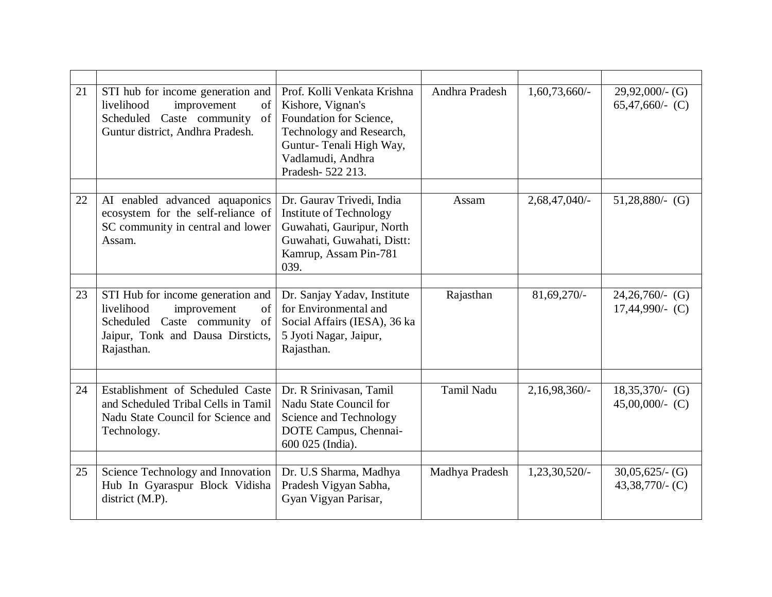| 21 | STI hub for income generation and<br>livelihood<br>improvement<br>of<br>Scheduled Caste community<br>of<br>Guntur district, Andhra Pradesh.                | Prof. Kolli Venkata Krishna<br>Kishore, Vignan's<br>Foundation for Science,<br>Technology and Research,<br>Guntur-Tenali High Way,<br>Vadlamudi, Andhra<br>Pradesh-522 213. | Andhra Pradesh    | $1,60,73,660/$ - | $29,92,000/$ - (G)<br>65,47,660/- $(C)$ |
|----|------------------------------------------------------------------------------------------------------------------------------------------------------------|-----------------------------------------------------------------------------------------------------------------------------------------------------------------------------|-------------------|------------------|-----------------------------------------|
| 22 | AI enabled advanced aquaponics<br>ecosystem for the self-reliance of<br>SC community in central and lower<br>Assam.                                        | Dr. Gaurav Trivedi, India<br>Institute of Technology<br>Guwahati, Gauripur, North<br>Guwahati, Guwahati, Distt:<br>Kamrup, Assam Pin-781<br>039.                            | Assam             | 2,68,47,040/-    | $51,28,880/$ - (G)                      |
| 23 | STI Hub for income generation and<br>improvement<br>livelihood<br>of<br>Scheduled Caste community<br>of<br>Jaipur, Tonk and Dausa Dirsticts,<br>Rajasthan. | Dr. Sanjay Yadav, Institute<br>for Environmental and<br>Social Affairs (IESA), 36 ka<br>5 Jyoti Nagar, Jaipur,<br>Rajasthan.                                                | Rajasthan         | 81,69,270/-      | $24,26,760/-(G)$<br>$17,44,990/-(C)$    |
| 24 | Establishment of Scheduled Caste<br>and Scheduled Tribal Cells in Tamil<br>Nadu State Council for Science and<br>Technology.                               | Dr. R Srinivasan, Tamil<br>Nadu State Council for<br>Science and Technology<br>DOTE Campus, Chennai-<br>600 025 (India).                                                    | <b>Tamil Nadu</b> | $2,16,98,360/$ - | $18,35,370/-(G)$<br>$45,00,000/(-C)$    |
| 25 | Science Technology and Innovation<br>Hub In Gyaraspur Block Vidisha<br>district (M.P).                                                                     | Dr. U.S Sharma, Madhya<br>Pradesh Vigyan Sabha,<br>Gyan Vigyan Parisar,                                                                                                     | Madhya Pradesh    | 1,23,30,520/-    | $30,05,625/$ (G)<br>$43,38,770/$ - (C)  |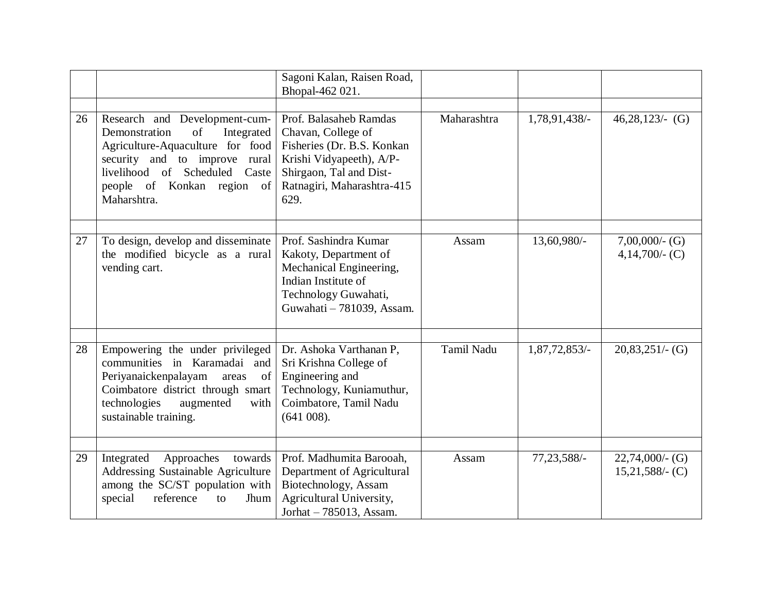|    |                                                                                                                                                                                                                       | Sagoni Kalan, Raisen Road,<br>Bhopal-462 021.                                                                                                                           |             |               |                                          |
|----|-----------------------------------------------------------------------------------------------------------------------------------------------------------------------------------------------------------------------|-------------------------------------------------------------------------------------------------------------------------------------------------------------------------|-------------|---------------|------------------------------------------|
| 26 | Research and Development-cum-<br>Demonstration<br>of<br>Integrated<br>Agriculture-Aquaculture for food<br>security and to improve rural<br>livelihood of Scheduled Caste<br>people of Konkan region of<br>Maharshtra. | Prof. Balasaheb Ramdas<br>Chavan, College of<br>Fisheries (Dr. B.S. Konkan<br>Krishi Vidyapeeth), A/P-<br>Shirgaon, Tal and Dist-<br>Ratnagiri, Maharashtra-415<br>629. | Maharashtra | 1,78,91,438/- | $46,28,123/$ - (G)                       |
| 27 | To design, develop and disseminate<br>the modified bicycle as a rural<br>vending cart.                                                                                                                                | Prof. Sashindra Kumar<br>Kakoty, Department of<br>Mechanical Engineering,<br>Indian Institute of<br>Technology Guwahati,<br>Guwahati - 781039, Assam.                   | Assam       | 13,60,980/-   | $7,00,000/$ - (G)<br>4,14,700/- $(C)$    |
| 28 | Empowering the under privileged<br>communities in Karamadai and<br>Periyanaickenpalayam<br>of<br>areas<br>Coimbatore district through smart<br>technologies<br>augmented<br>with<br>sustainable training.             | Dr. Ashoka Varthanan P,<br>Sri Krishna College of<br>Engineering and<br>Technology, Kuniamuthur,<br>Coimbatore, Tamil Nadu<br>(641008).                                 | Tamil Nadu  | 1,87,72,853/- | $20,83,251/$ - (G)                       |
| 29 | Integrated<br>Approaches<br>towards<br><b>Addressing Sustainable Agriculture</b><br>among the SC/ST population with<br>special<br>reference<br>Jhum<br>to                                                             | Prof. Madhumita Barooah,<br>Department of Agricultural<br>Biotechnology, Assam<br>Agricultural University,<br>Jorhat - 785013, Assam.                                   | Assam       | 77, 23, 588/- | $22,74,000/$ - (G)<br>$15,21,588/$ - (C) |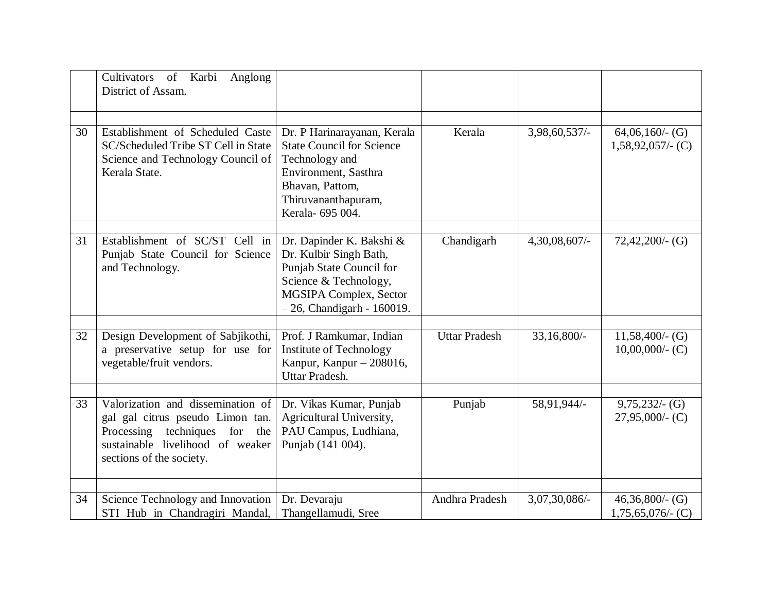|    | of Karbi<br>Cultivators<br>Anglong<br>District of Assam.                                                                                                               |                                                                                                                                                                         |                      |               |                                          |
|----|------------------------------------------------------------------------------------------------------------------------------------------------------------------------|-------------------------------------------------------------------------------------------------------------------------------------------------------------------------|----------------------|---------------|------------------------------------------|
| 30 | Establishment of Scheduled Caste<br>SC/Scheduled Tribe ST Cell in State<br>Science and Technology Council of<br>Kerala State.                                          | Dr. P Harinarayanan, Kerala<br><b>State Council for Science</b><br>Technology and<br>Environment, Sasthra<br>Bhavan, Pattom,<br>Thiruvananthapuram,<br>Kerala- 695 004. | Kerala               | 3,98,60,537/- | $64,06,160/$ - (G)<br>$1,58,92,057/(-C)$ |
| 31 | Establishment of SC/ST Cell in<br>Punjab State Council for Science<br>and Technology.                                                                                  | Dr. Dapinder K. Bakshi &<br>Dr. Kulbir Singh Bath,<br>Punjab State Council for<br>Science & Technology,<br>MGSIPA Complex, Sector<br>$-26$ , Chandigarh - 160019.       | Chandigarh           | 4,30,08,607/- | $72,42,200/$ - (G)                       |
| 32 | Design Development of Sabjikothi,<br>a preservative setup for use for<br>vegetable/fruit vendors.                                                                      | Prof. J Ramkumar, Indian<br>Institute of Technology<br>Kanpur, Kanpur - 208016,<br>Uttar Pradesh.                                                                       | <b>Uttar Pradesh</b> | 33,16,800/-   | $11,58,400$ /- (G)<br>$10,00,000/$ - (C) |
| 33 | Valorization and dissemination of<br>gal gal citrus pseudo Limon tan.<br>Processing techniques for the<br>sustainable livelihood of weaker<br>sections of the society. | Dr. Vikas Kumar, Punjab<br>Agricultural University,<br>PAU Campus, Ludhiana,<br>Punjab (141 004).                                                                       | Punjab               | 58,91,944/-   | $9,75,232/$ - (G)<br>$27,95,000/$ - (C)  |
| 34 | Science Technology and Innovation<br>STI Hub in Chandragiri Mandal,                                                                                                    | Dr. Devaraju<br>Thangellamudi, Sree                                                                                                                                     | Andhra Pradesh       | 3,07,30,086/- | $46,36,800/$ - (G)<br>$1,75,65,076$ (C)  |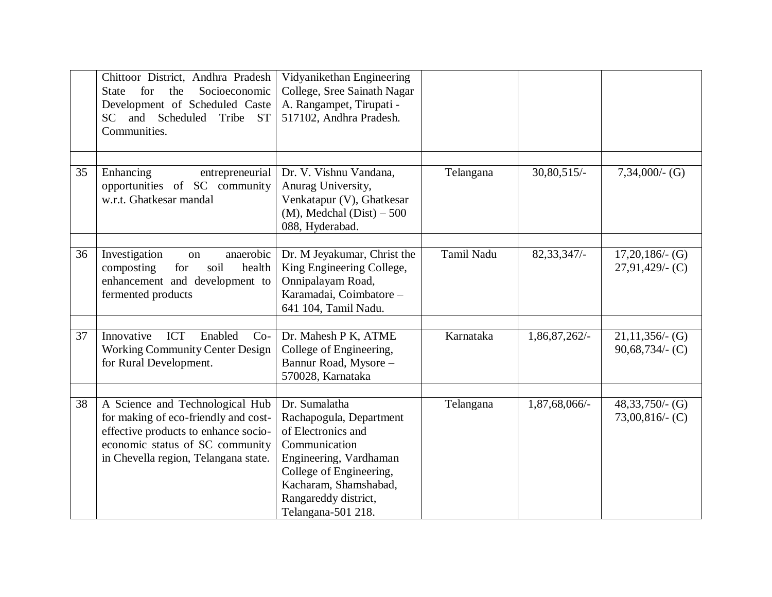|    | Chittoor District, Andhra Pradesh<br>for<br>Socioeconomic<br>the<br><b>State</b><br>Development of Scheduled Caste<br>and Scheduled<br>SC<br>Tribe ST<br>Communities.                      | Vidyanikethan Engineering<br>College, Sree Sainath Nagar<br>A. Rangampet, Tirupati -<br>517102, Andhra Pradesh.                                                                                             |                   |               |                                          |
|----|--------------------------------------------------------------------------------------------------------------------------------------------------------------------------------------------|-------------------------------------------------------------------------------------------------------------------------------------------------------------------------------------------------------------|-------------------|---------------|------------------------------------------|
| 35 | Enhancing<br>entrepreneurial<br>opportunities of SC community<br>w.r.t. Ghatkesar mandal                                                                                                   | Dr. V. Vishnu Vandana,<br>Anurag University,<br>Venkatapur (V), Ghatkesar<br>$(M)$ , Medchal $(Dist) - 500$<br>088, Hyderabad.                                                                              | Telangana         | $30,80,515/-$ | $7,34,000/$ - (G)                        |
| 36 | anaerobic<br>Investigation<br>on<br>composting<br>soil<br>health<br>for<br>enhancement and development to<br>fermented products                                                            | Dr. M Jeyakumar, Christ the<br>King Engineering College,<br>Onnipalayam Road,<br>Karamadai, Coimbatore -<br>641 104, Tamil Nadu.                                                                            | <b>Tamil Nadu</b> | 82, 33, 347/- | $17,20,186/$ - (G)<br>$27,91,429/$ - (C) |
| 37 | Innovative<br>ICT<br>Enabled<br>$Co-$<br><b>Working Community Center Design</b><br>for Rural Development.                                                                                  | Dr. Mahesh P K, ATME<br>College of Engineering,<br>Bannur Road, Mysore -<br>570028, Karnataka                                                                                                               | Karnataka         | 1,86,87,262/- | $21,11,356/$ - (G)<br>$90,68,734/$ (C)   |
| 38 | A Science and Technological Hub<br>for making of eco-friendly and cost-<br>effective products to enhance socio-<br>economic status of SC community<br>in Chevella region, Telangana state. | Dr. Sumalatha<br>Rachapogula, Department<br>of Electronics and<br>Communication<br>Engineering, Vardhaman<br>College of Engineering,<br>Kacharam, Shamshabad,<br>Rangareddy district,<br>Telangana-501 218. | Telangana         | 1,87,68,066/- | $48,33,750/$ - (G)<br>$73,00,816/$ (C)   |